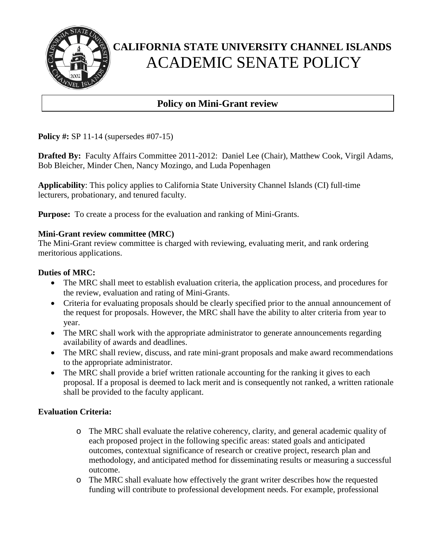

## **Policy on Mini-Grant review**

**Policy #:** SP 11-14 (supersedes #07-15)

**Drafted By:** Faculty Affairs Committee 2011-2012:Daniel Lee (Chair), Matthew Cook, Virgil Adams, Bob Bleicher, Minder Chen, Nancy Mozingo, and Luda Popenhagen

**Applicability**: This policy applies to California State University Channel Islands (CI) full-time lecturers, probationary, and tenured faculty.

**Purpose:** To create a process for the evaluation and ranking of Mini-Grants.

### **Mini-Grant review committee (MRC)**

The Mini-Grant review committee is charged with reviewing, evaluating merit, and rank ordering meritorious applications.

### **Duties of MRC:**

- The MRC shall meet to establish evaluation criteria, the application process, and procedures for the review, evaluation and rating of Mini-Grants.
- Criteria for evaluating proposals should be clearly specified prior to the annual announcement of the request for proposals. However, the MRC shall have the ability to alter criteria from year to year.
- The MRC shall work with the appropriate administrator to generate announcements regarding availability of awards and deadlines.
- The MRC shall review, discuss, and rate mini-grant proposals and make award recommendations to the appropriate administrator.
- The MRC shall provide a brief written rationale accounting for the ranking it gives to each proposal. If a proposal is deemed to lack merit and is consequently not ranked, a written rationale shall be provided to the faculty applicant.

## **Evaluation Criteria:**

- o The MRC shall evaluate the relative coherency, clarity, and general academic quality of each proposed project in the following specific areas: stated goals and anticipated outcomes, contextual significance of research or creative project, research plan and methodology, and anticipated method for disseminating results or measuring a successful outcome.
- o The MRC shall evaluate how effectively the grant writer describes how the requested funding will contribute to professional development needs. For example, professional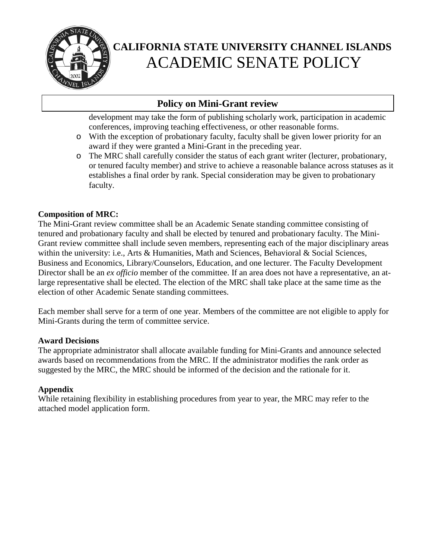

## **Policy on Mini-Grant review**

development may take the form of publishing scholarly work, participation in academic conferences, improving teaching effectiveness, or other reasonable forms.

- o With the exception of probationary faculty, faculty shall be given lower priority for an award if they were granted a Mini-Grant in the preceding year.
- o The MRC shall carefully consider the status of each grant writer (lecturer, probationary, or tenured faculty member) and strive to achieve a reasonable balance across statuses as it establishes a final order by rank. Special consideration may be given to probationary faculty.

### **Composition of MRC:**

The Mini-Grant review committee shall be an Academic Senate standing committee consisting of tenured and probationary faculty and shall be elected by tenured and probationary faculty. The Mini-Grant review committee shall include seven members, representing each of the major disciplinary areas within the university: i.e., Arts & Humanities, Math and Sciences, Behavioral & Social Sciences, Business and Economics, Library/Counselors, Education, and one lecturer. The Faculty Development Director shall be an *ex officio* member of the committee. If an area does not have a representative, an atlarge representative shall be elected. The election of the MRC shall take place at the same time as the election of other Academic Senate standing committees.

Each member shall serve for a term of one year. Members of the committee are not eligible to apply for Mini-Grants during the term of committee service.

### **Award Decisions**

The appropriate administrator shall allocate available funding for Mini-Grants and announce selected awards based on recommendations from the MRC. If the administrator modifies the rank order as suggested by the MRC, the MRC should be informed of the decision and the rationale for it.

## **Appendix**

While retaining flexibility in establishing procedures from year to year, the MRC may refer to the attached model application form.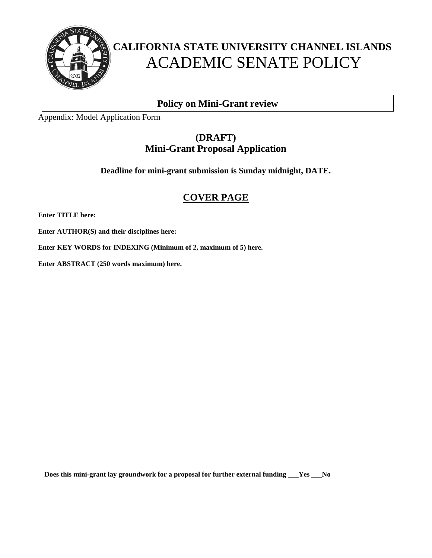

## **Policy on Mini-Grant review**

Appendix: Model Application Form

## **(DRAFT) Mini-Grant Proposal Application**

**Deadline for mini-grant submission is Sunday midnight, DATE.**

## **COVER PAGE**

**Enter TITLE here:**

**Enter AUTHOR(S) and their disciplines here:**

**Enter KEY WORDS for INDEXING (Minimum of 2, maximum of 5) here.**

**Enter ABSTRACT (250 words maximum) here.**

**Does this mini-grant lay groundwork for a proposal for further external funding \_\_\_Yes \_\_\_No**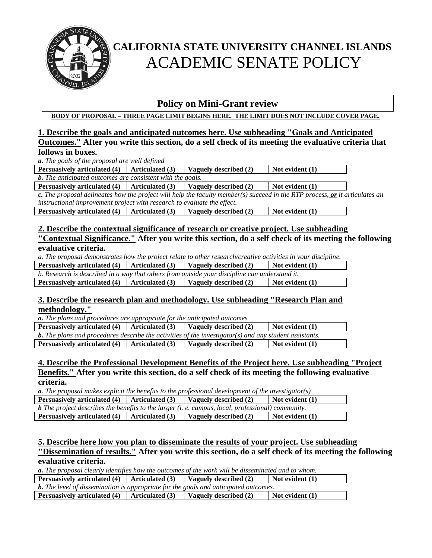

## **Policy on Mini-Grant review**

**BODY OF PROPOSAL – THREE PAGE LIMIT BEGINS HERE. THE LIMIT DOES NOT INCLUDE COVER PAGE.**

#### **1. Describe the goals and anticipated outcomes here. Use subheading "Goals and Anticipated Outcomes." After you write this section, do a self check of its meeting the evaluative criteria that follows in boxes.**

*a. The goals of the proposal are well defined* 

**Persuasively articulated (4) Articulated (3) Vaguely described (2) Not evident (1)**

*b. The anticipated outcomes are consistent with the goals.* 

**Persuasively articulated (4) Articulated (3) Vaguely described (2) Not evident (1)**

*c. The proposal delineates how the project will help the faculty member(s) succeed in the RTP process, or it articulates an instructional improvement project with research to evaluate the effect.*

**Persuasively articulated (4) Articulated (3) Vaguely described (2) Not evident (1)**

#### **2. Describe the contextual significance of research or creative project. Use subheading "Contextual Significance." After you write this section, do a self check of its meeting the following evaluative criteria.**

*a. The proposal demonstrates how the project relate to other research/creative activities in your discipline.* 

**Persuasively articulated (4) Articulated (3) Vaguely described (2) Not evident (1)** 

*b. Research is described in a way that others from outside your discipline can understand it.*  **Persuasively articulated (4) Articulated (3) Vaguely described (2) Not evident (1)** 

### **3. Describe the research plan and methodology. Use subheading "Research Plan and methodology."**

*a. The plans and procedures are appropriate for the anticipated outcomes*

| <b>Persuasively articulated (4)</b>                                                                           | $\vert$ Articulated (3) | Vaguely described (2) | Not evident (1) |  |  |
|---------------------------------------------------------------------------------------------------------------|-------------------------|-----------------------|-----------------|--|--|
| <b>b.</b> The plans and procedures describe the activities of the investigator(s) and any student assistants. |                         |                       |                 |  |  |
| <b>Persuasively articulated (4)</b>                                                                           | $\vert$ Articulated (3) | Vaguely described (2) | Not evident (1) |  |  |

**4. Describe the Professional Development Benefits of the Project here. Use subheading "Project Benefits." After you write this section, do a self check of its meeting the following evaluative criteria.**

*a. The proposal makes explicit the benefits to the professional development of the investigator(s)*

| Persuasively articulated $(4)$   Articulated $(3)$                                                         |  | Vaguely described (2) | Not evident (1) |  |  |
|------------------------------------------------------------------------------------------------------------|--|-----------------------|-----------------|--|--|
| <b>b</b> The project describes the benefits to the larger $(i. e.$ campus, local, professional) community. |  |                       |                 |  |  |
| Persuasively articulated $(4)$   Articulated $(3)$                                                         |  | Vaguely described (2) | Not evident (1) |  |  |

**5. Describe here how you plan to disseminate the results of your project. Use subheading "Dissemination of results." After you write this section, do a self check of its meeting the following evaluative criteria.**

*a. The proposal clearly identifies how the outcomes of the work will be disseminated and to whom.*

**Persuasively articulated (4) Articulated (3) Vaguely described (2) Not evident (1)** 

*b. The level of dissemination is appropriate for the goals and anticipated outcomes.* **Persuasively articulated (4) Articulated (3) Vaguely described (2) Not evident (1)**